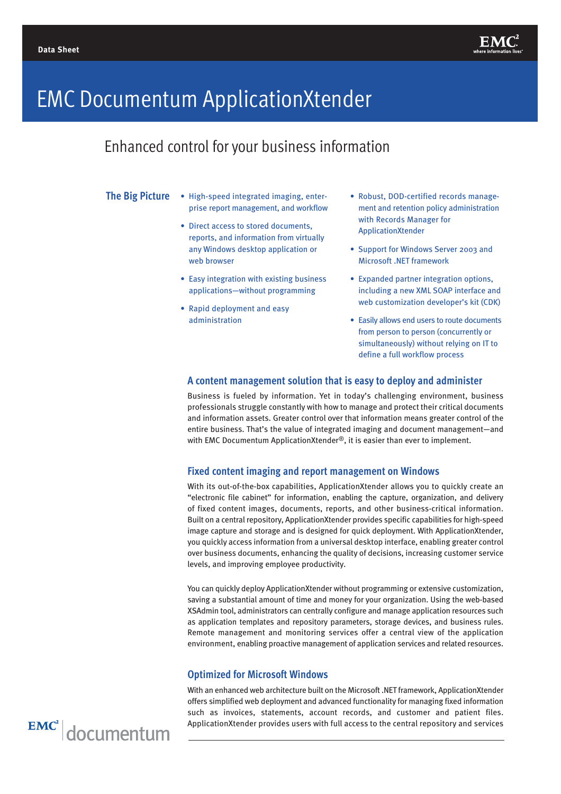

# EMC Documentum ApplicationXtender

Enhanced control for your business information

### **The Big Picture**

- High-speed integrated imaging, enterprise report management, and workflow
- Direct access to stored documents, reports, and information from virtually any Windows desktop application or web browser
- Easy integration with existing business applications—without programming
- Rapid deployment and easy administration
- Robust, DOD-certified records management and retention policy administration with Records Manager for ApplicationXtender
- Support for Windows Server 2003 and Microsoft .NET framework
- Expanded partner integration options, including a new XML SOAP interface and web customization developer's kit (CDK)
- Easily allows end users to route documents from person to person (concurrently or simultaneously) without relying on IT to define a full workflow process

#### **A content management solution that is easy to deploy and administer**

Business is fueled by information. Yet in today's challenging environment, business professionals struggle constantly with how to manage and protect their critical documents and information assets. Greater control over that information means greater control of the entire business. That's the value of integrated imaging and document management—and with EMC Documentum ApplicationXtender<sup>®</sup>, it is easier than ever to implement.

## **Fixed content imaging and report management on Windows**

With its out-of-the-box capabilities, ApplicationXtender allows you to quickly create an "electronic file cabinet" for information, enabling the capture, organization, and delivery of fixed content images, documents, reports, and other business-critical information. Built on a central repository, ApplicationXtender provides specific capabilities for high-speed image capture and storage and is designed for quick deployment. With ApplicationXtender, you quickly access information from a universal desktop interface, enabling greater control over business documents, enhancing the quality of decisions, increasing customer service levels, and improving employee productivity.

You can quickly deploy ApplicationXtender without programming or extensive customization, saving a substantial amount of time and money for your organization. Using the web-based XSAdmin tool, administrators can centrally configure and manage application resources such as application templates and repository parameters, storage devices, and business rules. Remote management and monitoring services offer a central view of the application environment, enabling proactive management of application services and related resources.

#### **Optimized for Microsoft Windows**

With an enhanced web architecture built on the Microsoft .NET framework, ApplicationXtender offers simplified web deployment and advanced functionality for managing fixed information such as invoices, statements, account records, and customer and patient files. ApplicationXtender provides users with full access to the central repository and services